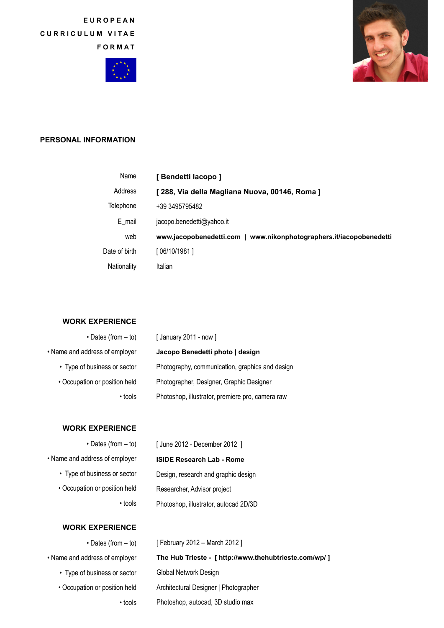**EUROPEAN CURRICULUM VITAE FORMAT**





## **PERSONAL INFORMATION**

| Name          | [ Bendetti lacopo ]                                                 |
|---------------|---------------------------------------------------------------------|
| Address       | [ 288, Via della Magliana Nuova, 00146, Roma ]                      |
| Telephone     | +39 3495795482                                                      |
| E mail        | jacopo.benedetti@yahoo.it                                           |
| web           | www.jacopobenedetti.com   www.nikonphotographers.it/iacopobenedetti |
| Date of birth | [ 06/10/1981 ]                                                      |
| Nationality   | Italian                                                             |

## **WORK EXPERIENCE**

| $\cdot$ Dates (from $-$ to)    | [January 2011 - now]                             |
|--------------------------------|--------------------------------------------------|
| • Name and address of employer | Jacopo Benedetti photo   design                  |
| • Type of business or sector   | Photography, communication, graphics and design  |
| • Occupation or position held  | Photographer, Designer, Graphic Designer         |
| • tools                        | Photoshop, illustrator, premiere pro, camera raw |

#### **WORK EXPERIENCE**

• Dates (from – to) • Name and address of employer • Type of business or sector • Occupation or position held • tools

# **ISIDE Research Lab - Rome** Design, research and graphic design Researcher, Advisor project Photoshop, illustrator, autocad 2D/3D

[ June 2012 - December 2012 ]

# **WORK EXPERIENCE**

| $\cdot$ Dates (from $-$ to)    | [ February 2012 – March 2012 ]                         |
|--------------------------------|--------------------------------------------------------|
| • Name and address of employer | The Hub Trieste - [ http://www.thehubtrieste.com/wp/ ] |
| • Type of business or sector   | Global Network Design                                  |
| • Occupation or position held  | Architectural Designer   Photographer                  |
| • tools                        | Photoshop, autocad, 3D studio max                      |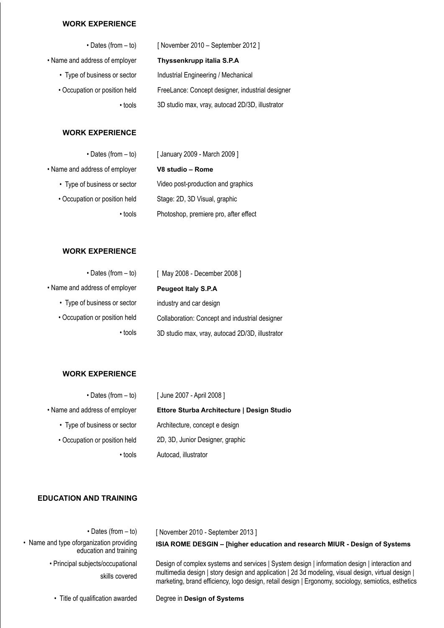## **WORK EXPERIENCE**

| $\cdot$ Dates (from $-$ to)    | [November 2010 – September 2012]                 |
|--------------------------------|--------------------------------------------------|
| • Name and address of employer | Thyssenkrupp italia S.P.A                        |
| • Type of business or sector   | Industrial Engineering / Mechanical              |
| • Occupation or position held  | FreeLance: Concept designer, industrial designer |
| • tools                        | 3D studio max, vray, autocad 2D/3D, illustrator  |
|                                |                                                  |

## **WORK EXPERIENCE**

| $\cdot$ Dates (from $-$ to)    | [ January 2009 - March 2009 ]         |
|--------------------------------|---------------------------------------|
| • Name and address of employer | V8 studio - Rome                      |
| • Type of business or sector   | Video post-production and graphics    |
| • Occupation or position held  | Stage: 2D, 3D Visual, graphic         |
| • tools                        | Photoshop, premiere pro, after effect |
|                                |                                       |

# **WORK EXPERIENCE**

| $\cdot$ Dates (from $-$ to)    | [ May 2008 - December 2008 ]                    |
|--------------------------------|-------------------------------------------------|
| • Name and address of employer | <b>Peugeot Italy S.P.A</b>                      |
| • Type of business or sector   | industry and car design                         |
| • Occupation or position held  | Collaboration: Concept and industrial designer  |
| • tools                        | 3D studio max, vray, autocad 2D/3D, illustrator |

#### **WORK EXPERIENCE**

| $\cdot$ Dates (from – to)      | [June 2007 - April 2008]                   |
|--------------------------------|--------------------------------------------|
| • Name and address of employer | Ettore Sturba Architecture   Design Studio |
| • Type of business or sector   | Architecture, concept e design             |
| • Occupation or position held  | 2D, 3D, Junior Designer, graphic           |
| • tools                        | Autocad, illustrator                       |

## **EDUCATION AND TRAINING**

| November 2010 - September 2013 ]                                                                                                                                                                          |
|-----------------------------------------------------------------------------------------------------------------------------------------------------------------------------------------------------------|
| ISIA ROME DESGIN - [higher education and research MIUR - Design of Systems                                                                                                                                |
| Design of complex systems and services   System design   information design   interaction and                                                                                                             |
| multimedia design   story design and application   2d 3d modeling, visual design, virtual design  <br>marketing, brand efficiency, logo design, retail design   Ergonomy, sociology, semiotics, esthetics |
|                                                                                                                                                                                                           |

• Title of qualification awarded

Degree in **Design of Systems**